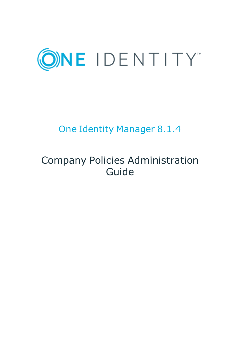

# One Identity Manager 8.1.4

# Company Policies Administration Guide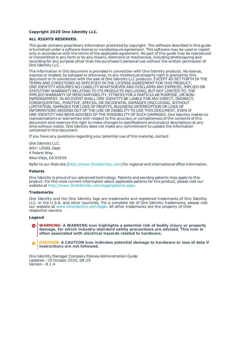#### **Copyright 2020 One Identity LLC.**

#### **ALL RIGHTS RESERVED.**

This guide contains proprietary information protected by copyright. The software described in this guide is furnished under a software license or nondisclosure agreement. This software may be used or copied only in accordance with the terms of the applicable agreement. No part of this guide may be reproduced or transmitted in any form or by any means, electronic or mechanical, including photocopying and recording for any purpose other than the purchaser's personal use without the written permission of One Identity LLC .

The information in this document is provided in connection with One Identity products. No license, express or implied, by estoppel or otherwise, to any intellectual property right is granted by this document or in connection with the sale of One Identity LLC products. EXCEPT AS SET FORTH IN THE TERMS AND CONDITIONS AS SPECIFIED IN THE LICENSE AGREEMENT FOR THIS PRODUCT, ONE IDENTITY ASSUMES NO LIABILITY WHATSOEVER AND DISCLAIMS ANY EXPRESS, IMPLIED OR STATUTORY WARRANTY RELATING TO ITS PRODUCTS INCLUDING, BUT NOT LIMITED TO, THE IMPLIED WARRANTY OF MERCHANTABILITY, FITNESS FOR A PARTICULAR PURPOSE, OR NON-INFRINGEMENT. IN NO EVENT SHALL ONE IDENTITY BE LIABLE FOR ANY DIRECT, INDIRECT, CONSEQUENTIAL, PUNITIVE, SPECIAL OR INCIDENTAL DAMAGES (INCLUDING, WITHOUT LIMITATION, DAMAGES FOR LOSS OF PROFITS, BUSINESS INTERRUPTION OR LOSS OF INFORMATION) ARISING OUT OF THE USE OR INABILITY TO USE THIS DOCUMENT, EVEN IF ONE IDENTITY HAS BEEN ADVISED OF THE POSSIBILITY OF SUCH DAMAGES. One Identity makes no representations or warranties with respect to the accuracy or completeness of the contents of this document and reserves the right to make changes to specifications and product descriptions at any time without notice. One Identity does not make any commitment to update the information contained in this document.

If you have any questions regarding your potential use of this material, contact:

One Identity LLC. Attn: LEGAL Dept 4 Polaris Way Aliso Viejo, CA 92656

Refer to our Web site ([http://www.OneIdentity.com](http://www.oneidentity.com/)) for regional and international office information.

#### **Patents**

One Identity is proud of our advanced technology. Patents and pending patents may apply to this product. For the most current information about applicable patents for this product, please visit our website at [http://www.OneIdentity.com/legal/patents.aspx](http://www.oneidentity.com/legal/patents.aspx).

#### **Trademarks**

One Identity and the One Identity logo are trademarks and registered trademarks of One Identity LLC. in the U.S.A. and other countries. For a complete list of One Identity trademarks, please visit our website at [www.OneIdentity.com/legal](http://www.oneidentity.com/legal). All other trademarks are the property of their respective owners.

#### **Legend**

**WARNING: A WARNING icon highlights a potential risk of bodily injury or property damage, for which industry-standard safety precautions are advised. This icon is often associated with electrical hazards related to hardware.**

**CAUTION: A CAUTION icon indicates potential damage to hardware or loss of data if** A **instructions are not followed.**

One Identity Manager Company Policies Administration Guide Updated - 19 October 2020, 08:29 Version - 8.1.4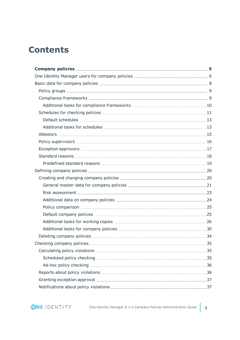# **Contents**

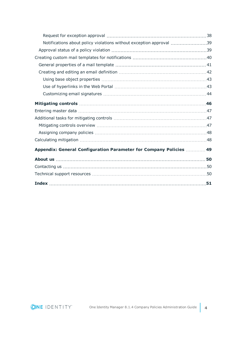| Notifications about policy violations without exception approval 39 |  |
|---------------------------------------------------------------------|--|
|                                                                     |  |
|                                                                     |  |
|                                                                     |  |
|                                                                     |  |
|                                                                     |  |
|                                                                     |  |
|                                                                     |  |
|                                                                     |  |
|                                                                     |  |
|                                                                     |  |
|                                                                     |  |
|                                                                     |  |
|                                                                     |  |
| Appendix: General Configuration Parameter for Company Policies  49  |  |
|                                                                     |  |
|                                                                     |  |
|                                                                     |  |
|                                                                     |  |

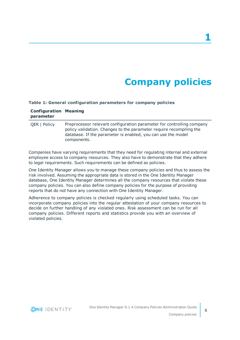# **Company policies**

#### <span id="page-4-0"></span>**Table 1: General configuration parameters for company policies**

| <b>Configuration Meaning</b><br>parameter |                                                                                                                                                                                                                             |
|-------------------------------------------|-----------------------------------------------------------------------------------------------------------------------------------------------------------------------------------------------------------------------------|
| <b>QER   Policy</b>                       | Preprocessor relevant configuration parameter for controlling company<br>policy validation. Changes to the parameter require recompiling the<br>database. If the parameter is enabled, you can use the model<br>components. |

Companies have varying requirements that they need for regulating internal and external employee access to company resources. They also have to demonstrate that they adhere to legal requirements. Such requirements can be defined as policies.

One Identity Manager allows you to manage these company policies and thus to assess the risk involved. Assuming the appropriate data is stored in the One Identity Manager database, One Identity Manager determines all the company resources that violate these company policies. You can also define company policies for the purpose of providing reports that do not have any connection with One Identity Manager.

Adherence to company policies is checked regularly using scheduled tasks. You can incorporate company policies into the regular attestation of your company resources to decide on further handling of any violated ones. Risk assessment can be run for all company policies. Different reports and statistics provide you with an overview of violated policies.

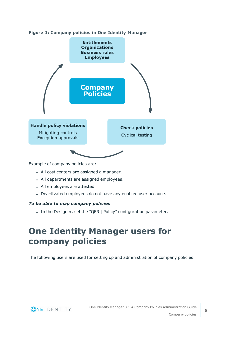



Example of company policies are:

- All cost centers are assigned a manager.
- All departments are assigned employees.
- All employees are attested.
- Deactivated employees do not have any enabled user accounts.

#### *To be able to map company policies*

<span id="page-5-0"></span>• In the Designer, set the "QER | Policy" configuration parameter.

# **One Identity Manager users for company policies**

The following users are used for setting up and administration of company policies.

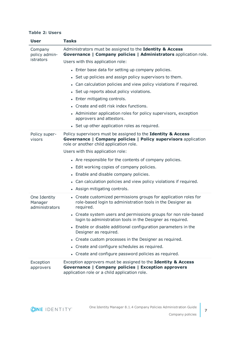#### **Table 2: Users**

| <b>User</b>                               | <b>Tasks</b>                                                                                                                                                              |
|-------------------------------------------|---------------------------------------------------------------------------------------------------------------------------------------------------------------------------|
| Company<br>policy admin-<br>istrators     | Administrators must be assigned to the Identity & Access<br>Governance   Company policies   Administrators application role.                                              |
|                                           | Users with this application role:                                                                                                                                         |
|                                           | • Enter base data for setting up company policies.                                                                                                                        |
|                                           | • Set up policies and assign policy supervisors to them.                                                                                                                  |
|                                           | • Can calculation policies and view policy violations if required.                                                                                                        |
|                                           | • Set up reports about policy violations.                                                                                                                                 |
|                                           | • Enter mitigating controls.                                                                                                                                              |
|                                           | • Create and edit risk index functions.                                                                                                                                   |
|                                           | • Administer application roles for policy supervisors, exception<br>approvers and attestors.                                                                              |
|                                           | • Set up other application roles as required.                                                                                                                             |
| Policy super-<br>visors                   | Policy supervisors must be assigned to the Identity & Access<br>Governance   Company policies   Policy supervisors application<br>role or another child application role. |
|                                           | Users with this application role:                                                                                                                                         |
|                                           | • Are responsible for the contents of company policies.                                                                                                                   |
|                                           | • Edit working copies of company policies.                                                                                                                                |
|                                           | • Enable and disable company policies.                                                                                                                                    |
|                                           | • Can calculation policies and view policy violations if required.                                                                                                        |
|                                           | • Assign mitigating controls.                                                                                                                                             |
| One Identity<br>Manager<br>administrators | • Create customized permissions groups for application roles for<br>role-based login to administration tools in the Designer as<br>required.                              |
|                                           | • Create system users and permissions groups for non role-based<br>login to administration tools in the Designer as required.                                             |
|                                           | • Enable or disable additional configuration parameters in the<br>Designer as required.                                                                                   |
|                                           | • Create custom processes in the Designer as required.                                                                                                                    |
|                                           | • Create and configure schedules as required.                                                                                                                             |
|                                           | • Create and configure password policies as required.                                                                                                                     |
| Exception<br>approvers                    | Exception approvers must be assigned to the Identity & Access<br>Governance   Company policies   Exception approvers<br>application role or a child application role.     |

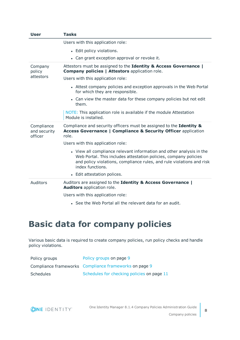| <b>User</b>                           | <b>Tasks</b>                                                                                                                                                                                                                          |
|---------------------------------------|---------------------------------------------------------------------------------------------------------------------------------------------------------------------------------------------------------------------------------------|
|                                       | Users with this application role:                                                                                                                                                                                                     |
|                                       | • Edit policy violations.                                                                                                                                                                                                             |
|                                       | • Can grant exception approval or revoke it.                                                                                                                                                                                          |
| Company<br>policy                     | Attestors must be assigned to the Identity & Access Governance  <br><b>Company policies   Attestors application role.</b>                                                                                                             |
| attestors                             | Users with this application role:                                                                                                                                                                                                     |
|                                       | • Attest company policies and exception approvals in the Web Portal<br>for which they are responsible.                                                                                                                                |
|                                       | • Can view the master data for these company policies but not edit<br>them.                                                                                                                                                           |
|                                       | NOTE: This application role is available if the module Attestation<br>Module is installed.                                                                                                                                            |
| Compliance<br>and security<br>officer | Compliance and security officers must be assigned to the Identity &<br><b>Access Governance   Compliance &amp; Security Officer application</b><br>role.                                                                              |
|                                       | Users with this application role:                                                                                                                                                                                                     |
|                                       | • View all compliance relevant information and other analysis in the<br>Web Portal. This includes attestation policies, company policies<br>and policy violations, compliance rules, and rule violations and risk<br>index functions. |
|                                       | • Edit attestation polices.                                                                                                                                                                                                           |
| <b>Auditors</b>                       | Auditors are assigned to the Identity & Access Governance  <br>Auditors application role.                                                                                                                                             |
|                                       | Users with this application role:                                                                                                                                                                                                     |
|                                       | • See the Web Portal all the relevant data for an audit.                                                                                                                                                                              |

# <span id="page-7-0"></span>**Basic data for company policies**

Various basic data is required to create company policies, run policy checks and handle policy violations.

| Policy groups | Policy groups on page 9                               |
|---------------|-------------------------------------------------------|
|               | Compliance frameworks Compliance frameworks on page 9 |
| Schedules     | Schedules for checking policies on page 11            |

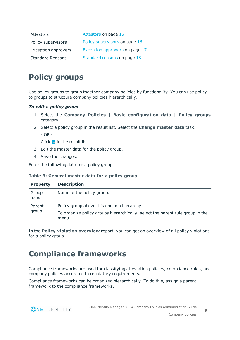| Attestors                  | Attestors on page 15           |
|----------------------------|--------------------------------|
| Policy supervisors         | Policy supervisors on page 16  |
| <b>Exception approvers</b> | Exception approvers on page 17 |
| <b>Standard Reasons</b>    | Standard reasons on page 18    |

## <span id="page-8-0"></span>**Policy groups**

Use policy groups to group together company policies by functionality. You can use policy to groups to structure company policies hierarchically.

### *To edit a policy group*

- 1. Select the **Company Policies | Basic configuration data | Policy groups** category.
- 2. Select a policy group in the result list. Select the **Change master data** task.

- OR -

Click  $\mathbf{1}$  in the result list.

- 3. Edit the master data for the policy group.
- 4. Save the changes.

Enter the following data for a policy group

#### **Table 3: General master data for a policy group**

| <b>Property</b> | <b>Description</b>                                                                                                           |
|-----------------|------------------------------------------------------------------------------------------------------------------------------|
| Group<br>name   | Name of the policy group.                                                                                                    |
| Parent<br>group | Policy group above this one in a hierarchy.<br>To organize policy groups hierarchically, select the parent rule group in the |
|                 | menu.                                                                                                                        |

In the **Policy violation overview** report, you can get an overview of all policy violations for a policy group.

## <span id="page-8-1"></span>**Compliance frameworks**

Compliance frameworks are used for classifying attestation policies, compliance rules, and company policies according to regulatory requirements.

Compliance frameworks can be organized hierarchically. To do this, assign a parent framework to the compliance frameworks.

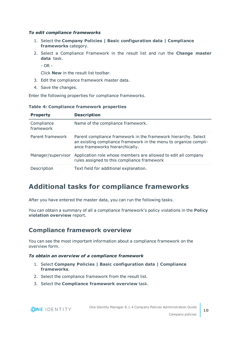### *To edit compliance frameworks*

- 1. Select the **Company Policies | Basic configuration data | Compliance frameworks** category.
- 2. Select a Compliance Framework in the result list and run the **Change master data** task.
	- OR -

Click **New** in the result list toolbar.

- 3. Edit the compliance framework master data.
- 4. Save the changes.

Enter the following properties for compliance frameworks.

| <b>Property</b>         | <b>Description</b>                                                                                                                                                    |
|-------------------------|-----------------------------------------------------------------------------------------------------------------------------------------------------------------------|
| Compliance<br>framework | Name of the compliance framework.                                                                                                                                     |
| Parent framework        | Parent compliance framework in the framework hierarchy. Select<br>an existing compliance framework in the menu to organize compli-<br>ance frameworks hierarchically. |
| Manager/supervisor      | Application role whose members are allowed to edit all company<br>rules assigned to this compliance framework                                                         |
| Description             | Text field for additional explanation.                                                                                                                                |

#### **Table 4: Compliance framework properties**

## <span id="page-9-0"></span>**Additional tasks for compliance frameworks**

After you have entered the master data, you can run the following tasks.

You can obtain a summary of all a compliance framework's policy violations in the **Policy violation overview** report.

### <span id="page-9-1"></span>**Compliance framework overview**

You can see the most important information about a compliance framework on the overview form.

#### *To obtain an overview of a compliance framework*

- 1. Select **Company Policies | Basic configuration data | Compliance frameworks**.
- 2. Select the compliance framework from the result list.
- 3. Select the **Compliance framework overview** task.

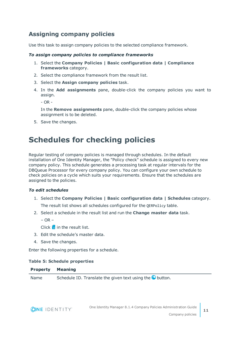### <span id="page-10-1"></span>**Assigning company policies**

Use this task to assign company policies to the selected compliance framework.

### *To assign company policies to compliance frameworks*

- 1. Select the **Company Policies | Basic configuration data | Compliance frameworks** category.
- 2. Select the compliance framework from the result list.
- 3. Select the **Assign company policies** task.
- 4. In the **Add assignments** pane, double-click the company policies you want to assign.

- OR -

In the **Remove assignments** pane, double-click the company policies whose assignment is to be deleted.

<span id="page-10-0"></span>5. Save the changes.

## **Schedules for checking policies**

Regular testing of company policies is managed through schedules. In the default installation of One Identity Manager, the "Policy check" schedule is assigned to every new company policy. This schedule generates a processing task at regular intervals for the DBQueue Processor for every company policy. You can configure your own schedule to check policies on a cycle which suits your requirements. Ensure that the schedules are assigned to the policies.

### *To edit schedules*

- 1. Select the **Company Policies | Basic configuration data | Schedules** category. The result list shows all schedules configured for the QERPolicy table.
- 2. Select a schedule in the result list and run the **Change master data** task.
	- $-$  OR  $-$

Click  $\mathbf{f}$  in the result list.

- 3. Edit the schedule's master data.
- 4. Save the changes.

Enter the following properties for a schedule.

#### **Table 5: Schedule properties**

#### **Property Meaning**

Name Schedule ID. Translate the given text using the  $\bullet$  button.

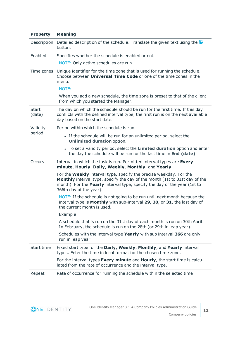| Detailed description of the schedule. Translate the given text using the<br>button.                                                                                                                                                                              |
|------------------------------------------------------------------------------------------------------------------------------------------------------------------------------------------------------------------------------------------------------------------|
| Specifies whether the schedule is enabled or not.                                                                                                                                                                                                                |
| NOTE: Only active schedules are run.                                                                                                                                                                                                                             |
| Unique identifier for the time zone that is used for running the schedule.<br>Choose between <b>Universal Time Code</b> or one of the time zones in the<br>menu.                                                                                                 |
| NOTE:                                                                                                                                                                                                                                                            |
| When you add a new schedule, the time zone is preset to that of the client<br>from which you started the Manager.                                                                                                                                                |
| The day on which the schedule should be run for the first time. If this day<br>conflicts with the defined interval type, the first run is on the next available<br>day based on the start date.                                                                  |
| Period within which the schedule is run.                                                                                                                                                                                                                         |
| • If the schedule will be run for an unlimited period, select the<br><b>Unlimited duration option.</b>                                                                                                                                                           |
| • To set a validity period, select the Limited duration option and enter<br>the day the schedule will be run for the last time in End (date).                                                                                                                    |
| Interval in which the task is run. Permitted interval types are Every<br>minute, Hourly, Daily, Weekly, Monthly, and Yearly.                                                                                                                                     |
| For the <b>Weekly</b> interval type, specify the precise weekday. For the<br>Monthly interval type, specify the day of the month (1st to 31st day of the<br>month). For the Yearly interval type, specify the day of the year (1st to<br>366th day of the year). |
| NOTE: If the schedule is not going to be run until next month because the<br>interval type is Monthly with sub-interval 29, 30, or 31, the last day of<br>the current month is used.                                                                             |
| Example:                                                                                                                                                                                                                                                         |
| A schedule that is run on the 31st day of each month is run on 30th April.<br>In February, the schedule is run on the 28th (or 29th in leap year).                                                                                                               |
| Schedules with the interval type Yearly with sub interval 366 are only<br>run in leap year.                                                                                                                                                                      |
| Fixed start type for the Daily, Weekly, Monthly, and Yearly interval<br>types. Enter the time in local format for the chosen time zone.                                                                                                                          |
| For the interval types Every minute and Hourly, the start time is calcu-<br>lated from the rate of occurrence and the interval type.                                                                                                                             |
| Rate of occurrence for running the schedule within the selected time                                                                                                                                                                                             |
|                                                                                                                                                                                                                                                                  |

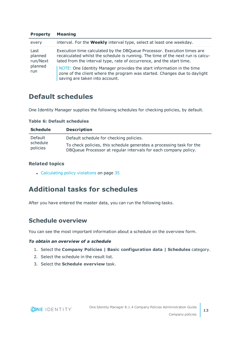| <b>FIVPELLY</b>                               | <b>TIGATILIY</b>                                                                                                                                                                                                                                                                                                                                                                                                            |
|-----------------------------------------------|-----------------------------------------------------------------------------------------------------------------------------------------------------------------------------------------------------------------------------------------------------------------------------------------------------------------------------------------------------------------------------------------------------------------------------|
| every                                         | interval. For the <b>Weekly</b> interval type, select at least one weekday.                                                                                                                                                                                                                                                                                                                                                 |
| Last<br>planned<br>run/Next<br>planned<br>run | Execution time calculated by the DBQueue Processor. Execution times are<br>recalculated whilst the schedule is running. The time of the next run is calcu-<br>lated from the interval type, rate of occurrence, and the start time.<br>NOTE: One Identity Manager provides the start information in the time<br>zone of the client where the program was started. Changes due to daylight<br>saving are taken into account. |

## <span id="page-12-0"></span>**Default schedules**

**Property Meaning**

One Identity Manager supplies the following schedules for checking policies, by default.

| <b>Schedule</b>      | <b>Description</b>                                                                                                                      |
|----------------------|-----------------------------------------------------------------------------------------------------------------------------------------|
| Default              | Default schedule for checking policies.                                                                                                 |
| schedule<br>policies | To check policies, this schedule generates a processing task for the<br>DBQueue Processor at regular intervals for each company policy. |

**Table 6: Default schedules**

### **Related topics**

• [Calculating](#page-34-1) policy violations on page 35

## <span id="page-12-1"></span>**Additional tasks for schedules**

After you have entered the master data, you can run the following tasks.

### <span id="page-12-2"></span>**Schedule overview**

You can see the most important information about a schedule on the overview form.

### *To obtain an overview of a schedule*

- 1. Select the **Company Policies | Basic configuration data | Schedules** category.
- 2. Select the schedule in the result list.
- 3. Select the **Schedule overview** task.

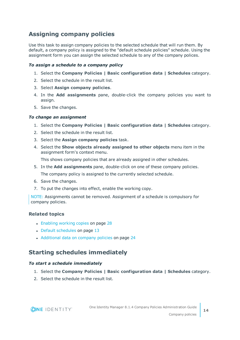### <span id="page-13-0"></span>**Assigning company policies**

Use this task to assign company policies to the selected schedule that will run them. By default, a company policy is assigned to the "default schedule policies" schedule. Using the assignment form you can assign the selected schedule to any of the company polices.

### *To assign a schedule to a company policy*

- 1. Select the **Company Policies | Basic configuration data | Schedules** category.
- 2. Select the schedule in the result list.
- 3. Select **Assign company policies**.
- 4. In the **Add assignments** pane, double-click the company policies you want to assign.
- 5. Save the changes.

#### *To change an assignment*

- 1. Select the **Company Policies | Basic configuration data | Schedules** category.
- 2. Select the schedule in the result list.
- 3. Select the **Assign company policies** task.
- 4. Select the **Show objects already assigned to other objects** menu item in the assignment form's context menu.

This shows company policies that are already assigned in other schedules.

5. In the **Add assignments** pane, double-click on one of these company policies.

The company policy is assigned to the currently selected schedule.

- 6. Save the changes.
- 7. To put the changes into effect, enable the working copy.

NOTE: Assignments cannot be removed. Assignment of a schedule is compulsory for company policies.

### **Related topics**

- [Enabling](#page-27-0) working copies on page 28
- Default [schedules](#page-12-0) on page 13
- [Additional](#page-23-0) data on company policies on page 24

### <span id="page-13-1"></span>**Starting schedules immediately**

#### *To start a schedule immediately*

- 1. Select the **Company Policies | Basic configuration data | Schedules** category.
- 2. Select the schedule in the result list.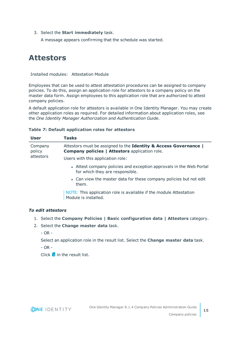3. Select the **Start immediately** task.

A message appears confirming that the schedule was started.

## <span id="page-14-0"></span>**Attestors**

Installed modules: Attestation Module

Employees that can be used to attest attestation procedures can be assigned to company policies. To do this, assign an application role for attestors to a company policy on the master data form. Assign employees to this application role that are authorized to attest company policies.

A default application role for attestors is available in One Identity Manager. You may create other application roles as required. For detailed information about application roles, see the *One Identity Manager Authorization and Authentication Guide*.

### **Table 7: Default application roles for attestors**

| <b>User</b>       | <b>Tasks</b>                                                                                                              |
|-------------------|---------------------------------------------------------------------------------------------------------------------------|
| Company<br>policy | Attestors must be assigned to the Identity & Access Governance  <br><b>Company policies   Attestors application role.</b> |
| attestors         | Users with this application role:                                                                                         |
|                   | • Attest company policies and exception approvals in the Web Portal<br>for which they are responsible.                    |
|                   | • Can view the master data for these company policies but not edit<br>them.                                               |
|                   | NOTE: This application role is available if the module Attestation<br>Module is installed.                                |

### *To edit attestors*

- 1. Select the **Company Policies | Basic configuration data | Attestors** category.
- 2. Select the **Change master data** task.

 $-$  OR  $-$ 

Select an application role in the result list. Select the **Change master data** task.

 $-$  OR  $-$ 

 $C$ lick  $\frac{1}{2}$  in the result list.

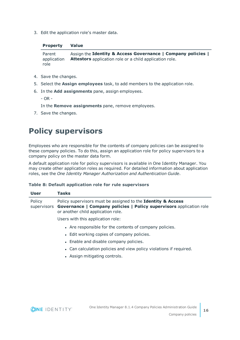3. Edit the application role's master data.

### **Property Value**

Parent application role Assign the **Identity & Access Governance | Company policies | Attestors** application role or a child application role.

- 4. Save the changes.
- 5. Select the **Assign employees** task, to add members to the application role.
- 6. In the **Add assignments** pane, assign employees.

- OR -

In the **Remove assignments** pane, remove employees.

<span id="page-15-0"></span>7. Save the changes.

## **Policy supervisors**

Employees who are responsible for the contents of company policies can be assigned to these company policies. To do this, assign an application role for policy supervisors to a company policy on the master data form.

A default application role for policy supervisors is available in One Identity Manager. You may create other application roles as required. For detailed information about application roles, see the *One Identity Manager Authorization and Authentication Guide*.

### **Table 8: Default application role for rule supervisors**

| User   | <b>Tasks</b>                                                                                                                                                                          |
|--------|---------------------------------------------------------------------------------------------------------------------------------------------------------------------------------------|
| Policy | Policy supervisors must be assigned to the Identity & Access<br>supervisors Governance   Company policies   Policy supervisors application role<br>or another child application role. |
|        | Users with this application role:                                                                                                                                                     |
|        | • Are responsible for the contents of company policies.                                                                                                                               |
|        | • Edit working copies of company policies.                                                                                                                                            |
|        | • Enable and disable company policies.                                                                                                                                                |
|        | • Can calculation policies and view policy violations if required.                                                                                                                    |
|        | • Assign mitigating controls.                                                                                                                                                         |
|        |                                                                                                                                                                                       |
|        |                                                                                                                                                                                       |

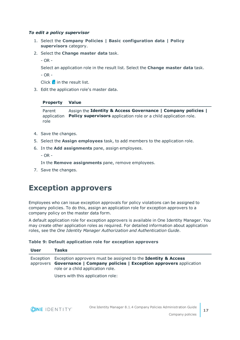### *To edit a policy supervisor*

- 1. Select the **Company Policies | Basic configuration data | Policy supervisors** category.
- 2. Select the **Change master data** task.

- OR -

Select an application role in the result list. Select the **Change master data** task.

- OR -

Click  $\mathbf{1}$  in the result list.

3. Edit the application role's master data.

### **Property Value**

Parent application Policy supervisors application role or a child application role. role Assign the **Identity & Access Governance | Company policies |**

- 4. Save the changes.
- 5. Select the **Assign employees** task, to add members to the application role.
- 6. In the **Add assignments** pane, assign employees.

 $-$  OR  $-$ 

In the **Remove assignments** pane, remove employees.

<span id="page-16-0"></span>7. Save the changes.

## **Exception approvers**

Employees who can issue exception approvals for policy violations can be assigned to company policies. To do this, assign an application role for exception approvers to a company policy on the master data form.

A default application role for exception approvers is available in One Identity Manager. You may create other application roles as required. For detailed information about application roles, see the *One Identity Manager Authorization and Authentication Guide*.

### **Table 9: Default application role for exception approvers**

| User | Tasks                                                                                                                                                                                                                                     |
|------|-------------------------------------------------------------------------------------------------------------------------------------------------------------------------------------------------------------------------------------------|
|      | Exception Exception approvers must be assigned to the <b>Identity &amp; Access</b><br>approvers Governance   Company policies   Exception approvers application<br>role or a child application role.<br>Heare with this application role: |

Users with this application role:



**17**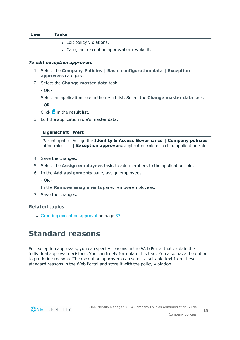#### **User Tasks**

- Edit policy violations.
- Can grant exception approval or revoke it.

#### *To edit exception approvers*

- 1. Select the **Company Policies | Basic configuration data | Exception approvers** category.
- 2. Select the **Change master data** task.
	- $OR -$

Select an application role in the result list. Select the **Change master data** task.

 $-$  OR  $-$ 

Click  $\pm$  in the result list.

3. Edit the application role's master data.

#### **Eigenschaft Wert**

Parent applic-Assign the **Identity & Access Governance | Company policies** ation role **| Exception approvers** application role or a child application role.

- 4. Save the changes.
- 5. Select the **Assign employees** task, to add members to the application role.
- 6. In the **Add assignments** pane, assign employees.
	- OR -

In the **Remove assignments** pane, remove employees.

7. Save the changes.

#### **Related topics**

<span id="page-17-0"></span>• Granting [exception](#page-36-0) approval on page 37

## **Standard reasons**

For exception approvals, you can specify reasons in the Web Portal that explain the individual approval decisions. You can freely formulate this text. You also have the option to predefine reasons. The exception approvers can select a suitable text from these standard reasons in the Web Portal and store it with the policy violation.

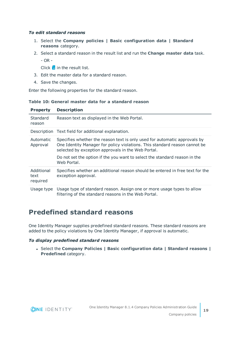### *To edit standard reasons*

- 1. Select the **Company policies | Basic configuration data | Standard reasons** category.
- 2. Select a standard reason in the result list and run the **Change master data** task.
	- OR -

Click  $\mathbf{t}$  in the result list.

- 3. Edit the master data for a standard reason.
- 4. Save the changes.

Enter the following properties for the standard reason.

### **Table 10: General master data for a standard reason**

| <b>Property</b>                | <b>Description</b>                                                                                                                                                                                                                                                                          |
|--------------------------------|---------------------------------------------------------------------------------------------------------------------------------------------------------------------------------------------------------------------------------------------------------------------------------------------|
| Standard<br>reason             | Reason text as displayed in the Web Portal.                                                                                                                                                                                                                                                 |
|                                | Description Text field for additional explanation.                                                                                                                                                                                                                                          |
| Automatic<br>Approval          | Specifies whether the reason text is only used for automatic approvals by<br>One Identity Manager for policy violations. This standard reason cannot be<br>selected by exception approvals in the Web Portal.<br>Do not set the option if the you want to select the standard reason in the |
|                                | Web Portal.                                                                                                                                                                                                                                                                                 |
| Additional<br>text<br>required | Specifies whether an additional reason should be entered in free text for the<br>exception approval.                                                                                                                                                                                        |
| Usage type                     | Usage type of standard reason. Assign one or more usage types to allow<br>filtering of the standard reasons in the Web Portal.                                                                                                                                                              |

## <span id="page-18-0"></span>**Predefined standard reasons**

One Identity Manager supplies predefined standard reasons. These standard reasons are added to the policy violations by One Identity Manager, if approval is automatic.

### *To display predefined standard reasons*

<sup>l</sup> Select the **Company Policies | Basic configuration data | Standard reasons | Predefined** category.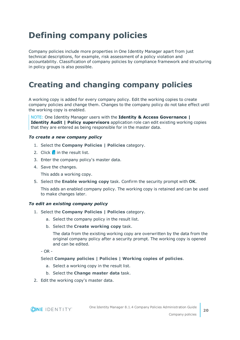# <span id="page-19-0"></span>**Defining company policies**

Company policies include more properties in One Identity Manager apart from just technical descriptions, for example, risk assessment of a policy violation and accountability. Classification of company policies by compliance framework and structuring in policy groups is also possible.

## <span id="page-19-1"></span>**Creating and changing company policies**

A working copy is added for every company policy. Edit the working copies to create company policies and change them. Changes to the company policy do not take effect until the working copy is enabled.

NOTE: One Identity Manager users with the **Identity & Access Governance | Identity Audit | Policy supervisors** application role can edit existing working copies that they are entered as being responsible for in the master data.

#### <span id="page-19-3"></span>*To create a new company policy*

- 1. Select the **Company Policies | Policies** category.
- 2. Click  $\mathbf{r}$  in the result list.
- 3. Enter the company policy's master data.
- 4. Save the changes.

This adds a working copy.

5. Select the **Enable working copy** task. Confirm the security prompt with **OK**.

This adds an enabled company policy. The working copy is retained and can be used to make changes later.

#### <span id="page-19-2"></span>*To edit an existing company policy*

- 1. Select the **Company Policies | Policies** category.
	- a. Select the company policy in the result list.
	- b. Select the **Create working copy** task.

The data from the existing working copy are overwritten by the data from the original company policy after a security prompt. The working copy is opened and can be edited.

- OR -

### Select **Company policies | Policies | Working copies of policies**.

- a. Select a working copy in the result list.
- b. Select the **Change master data** task.
- 2. Edit the working copy's master data.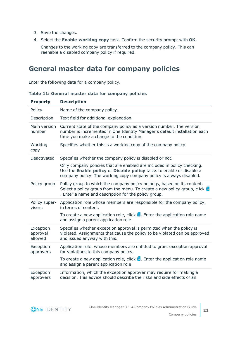- 3. Save the changes.
- 4. Select the **Enable working copy** task. Confirm the security prompt with **OK**.

Changes to the working copy are transferred to the company policy. This can reenable a disabled company policy if required.

### <span id="page-20-0"></span>**General master data for company policies**

Enter the following data for a company policy.

| <b>Property</b>                  | <b>Description</b>                                                                                                                                                                                                             |
|----------------------------------|--------------------------------------------------------------------------------------------------------------------------------------------------------------------------------------------------------------------------------|
| Policy                           | Name of the company policy.                                                                                                                                                                                                    |
| Description                      | Text field for additional explanation.                                                                                                                                                                                         |
| Main version<br>number           | Current state of the company policy as a version number. The version<br>number is incremented in One Identity Manager's default installation each<br>time you make a change to the condition.                                  |
| Working<br>copy                  | Specifies whether this is a working copy of the company policy.                                                                                                                                                                |
| Deactivated                      | Specifies whether the company policy is disabled or not.                                                                                                                                                                       |
|                                  | Only company policies that are enabled are included in policy checking.<br>Use the Enable policy or Disable policy tasks to enable or disable a<br>company policy. The working copy company policy is always disabled.         |
| Policy group                     | Policy group to which the company policy belongs, based on its content.<br>Select a policy group from the menu. To create a new policy group, click $\mathbf{\hat{L}}$<br>. Enter a name and description for the policy group. |
| Policy super-<br>visors          | Application role whose members are responsible for the company policy,<br>in terms of content.                                                                                                                                 |
|                                  | To create a new application role, click $\mathbf{L}$ . Enter the application role name<br>and assign a parent application role.                                                                                                |
| Exception<br>approval<br>allowed | Specifies whether exception approval is permitted when the policy is<br>violated. Assignments that cause the policy to be violated can be approved<br>and issued anyway with this.                                             |
| Exception<br>approvers           | Application role, whose members are entitled to grant exception approval<br>for violations to this company policy.                                                                                                             |
|                                  | To create a new application role, click $\mathbf{L}$ . Enter the application role name<br>and assign a parent application role.                                                                                                |
| Exception<br>approvers           | Information, which the exception approver may require for making a<br>decision. This advice should describe the risks and side effects of an                                                                                   |

### **Table 11: General master data for company policies**

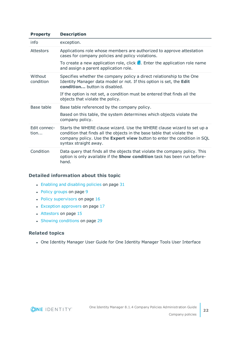| <b>Property</b>      | <b>Description</b>                                                                                                                                                                                                                                      |
|----------------------|---------------------------------------------------------------------------------------------------------------------------------------------------------------------------------------------------------------------------------------------------------|
| info                 | exception.                                                                                                                                                                                                                                              |
| Attestors            | Applications role whose members are authorized to approve attestation<br>cases for company policies and policy violations.                                                                                                                              |
|                      | To create a new application role, click $\mathbf{L}$ . Enter the application role name<br>and assign a parent application role.                                                                                                                         |
| Without<br>condition | Specifies whether the company policy a direct relationship to the One<br>Identity Manager data model or not. If this option is set, the Edit<br>condition button is disabled.                                                                           |
|                      | If the option is not set, a condition must be entered that finds all the<br>objects that violate the policy.                                                                                                                                            |
| Base table           | Base table referenced by the company policy.                                                                                                                                                                                                            |
|                      | Based on this table, the system determines which objects violate the<br>company policy.                                                                                                                                                                 |
| Edit connec-<br>tion | Starts the WHERE clause wizard. Use the WHERE clause wizard to set up a<br>condition that finds all the objects in the base table that violate the<br>company policy. Use the Expert view button to enter the condition in SQL<br>syntax straight away. |
| Condition            | Data query that finds all the objects that violate the company policy. This<br>option is only available if the <b>Show condition</b> task has been run before-<br>hand.                                                                                 |

### **Detailed information about this topic**

- Enabling and [disabling](#page-30-0) policies on page 31
- Policy [groups](#page-8-0) on page 9
- $\cdot$  Policy [supervisors](#page-15-0) on page 16
- Exception [approvers](#page-16-0) on page  $17$
- [Attestors](#page-14-0) on page 15
- Showing [conditions](#page-28-0) on page 29

### **Related topics**

• One Identity Manager User Guide for One Identity Manager Tools User Interface

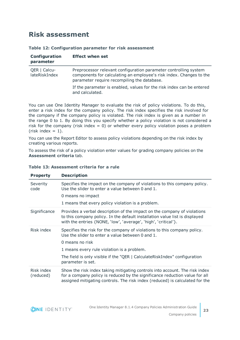### <span id="page-22-0"></span>**Risk assessment**

#### **Table 12: Configuration parameter for risk assessment**

| Configuration<br>parameter    | <b>Effect when set</b>                                                                                                                                                                 |
|-------------------------------|----------------------------------------------------------------------------------------------------------------------------------------------------------------------------------------|
| QER   Calcu-<br>lateRiskIndex | Preprocessor relevant configuration parameter controlling system<br>components for calculating an employee's risk index. Changes to the<br>parameter require recompiling the database. |
|                               | If the parameter is enabled, values for the risk index can be entered<br>and calculated.                                                                                               |

You can use One Identity Manager to evaluate the risk of policy violations. To do this, enter a risk index for the company policy. The risk index specifies the risk involved for the company if the company policy is violated. The risk index is given as a number in the range 0 to 1. By doing this you specify whether a policy violation is not considered a risk for the company (risk index  $= 0$ ) or whether every policy violation poses a problem (risk index  $= 1$ ).

You can use the Report Editor to assess policy violations depending on the risk index by creating various reports.

To assess the risk of a policy violation enter values for grading company policies on the **Assessment criteria** tab.

| <b>Property</b>         | <b>Description</b>                                                                                                                                                                                                                         |
|-------------------------|--------------------------------------------------------------------------------------------------------------------------------------------------------------------------------------------------------------------------------------------|
| Severity<br>code        | Specifies the impact on the company of violations to this company policy.<br>Use the slider to enter a value between 0 and 1.<br>0 means no impact<br>1 means that every policy violation is a problem.                                    |
|                         |                                                                                                                                                                                                                                            |
| Significance            | Provides a verbal description of the impact on the company of violations<br>to this company policy. In the default installation value list is displayed<br>with the entries {NONE, 'low', 'average', 'high', 'critical'}.                  |
| Risk index              | Specifies the risk for the company of violations to this company policy.<br>Use the slider to enter a value between 0 and 1.<br>0 means no risk                                                                                            |
|                         | 1 means every rule violation is a problem.                                                                                                                                                                                                 |
|                         | The field is only visible if the "QER   CalculateRiskIndex" configuration<br>parameter is set.                                                                                                                                             |
| Risk index<br>(reduced) | Show the risk index taking mitigating controls into account. The risk index<br>for a company policy is reduced by the significance reduction value for all<br>assigned mitigating controls. The risk index (reduced) is calculated for the |

### **Table 13: Assessment criteria for a rule**

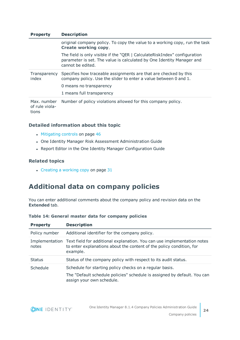| <b>Property</b>               | <b>Description</b>                                                                                                                                                      |
|-------------------------------|-------------------------------------------------------------------------------------------------------------------------------------------------------------------------|
|                               | original company policy. To copy the value to a working copy, run the task<br><b>Create working copy.</b>                                                               |
|                               | The field is only visible if the "QER   CalculateRiskIndex" configuration<br>parameter is set. The value is calculated by One Identity Manager and<br>cannot be edited. |
| Transparency<br>index         | Specifies how traceable assignments are that are checked by this<br>company policy. Use the slider to enter a value between 0 and 1.                                    |
|                               | 0 means no transparency                                                                                                                                                 |
|                               | 1 means full transparency                                                                                                                                               |
| Max. number<br>of rule viola- | Number of policy violations allowed for this company policy.                                                                                                            |

tions

### **Detailed information about this topic**

- [Mitigating](#page-45-0) controls on page 46
- One Identity Manager Risk Assessment Administration Guide
- Report Editor in the One Identity Manager Configuration Guide

### **Related topics**

 $\cdot$  [Creating](#page-30-1) a working copy on page 31

## <span id="page-23-0"></span>**Additional data on company policies**

You can enter additional comments about the company policy and revision data on the **Extended** tab.

| <b>Property</b> | <b>Description</b>                                                                                                                                                         |
|-----------------|----------------------------------------------------------------------------------------------------------------------------------------------------------------------------|
| Policy number   | Additional identifier for the company policy.                                                                                                                              |
| notes           | Implementation Text field for additional explanation. You can use implementation notes<br>to enter explanations about the content of the policy condition, for<br>example. |
| <b>Status</b>   | Status of the company policy with respect to its audit status.                                                                                                             |
| Schedule        | Schedule for starting policy checks on a regular basis.<br>The "Default schedule policies" schedule is assigned by default. You can<br>assign your own schedule.           |

### **Table 14: General master data for company policies**

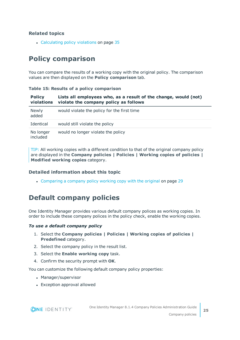### **Related topics**

• [Calculating](#page-34-1) policy violations on page 35

## <span id="page-24-0"></span>**Policy comparison**

You can compare the results of a working copy with the original policy. The comparison values are then displayed on the **Policy comparison** tab.

| <b>Policy</b><br>violations | Lists all employees who, as a result of the change, would (not)<br>violate the company policy as follows |
|-----------------------------|----------------------------------------------------------------------------------------------------------|
| <b>Newly</b><br>added       | would violate the policy for the first time                                                              |
| Identical                   | would still violate the policy                                                                           |
| No longer<br>included       | would no longer violate the policy                                                                       |

### **Table 15: Results of a policy comparison**

TIP: All working copies with a different condition to that of the original company policy are displayed in the **Company policies | Policies | Working copies of policies | Modified working copies** category.

### **Detailed information about this topic**

• [Comparing](#page-28-1) a company policy working copy with the original on page 29

## <span id="page-24-1"></span>**Default company policies**

One Identity Manager provides various default company polices as working copies. In order to include these company polices in the policy check, enable the working copies.

#### *To use a default company policy*

- 1. Select the **Company policies | Policies | Working copies of policies | Predefined** category.
- 2. Select the company policy in the result list.
- 3. Select the **Enable working copy** task.
- 4. Confirm the security prompt with **OK**.

You can customize the following default company policy properties:

- Manager/supervisor
- Exception approval allowed

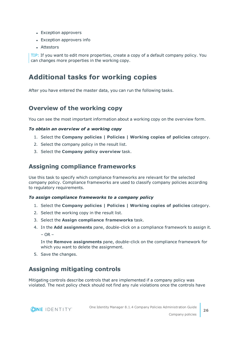- Exception approvers
- Exception approvers info
- Attestors

TIP: If you want to edit more properties, create a copy of a default company policy. You can changes more properties in the working copy.

### <span id="page-25-0"></span>**Additional tasks for working copies**

After you have entered the master data, you can run the following tasks.

### <span id="page-25-3"></span>**Overview of the working copy**

You can see the most important information about a working copy on the overview form.

### *To obtain an overview of a working copy*

- 1. Select the **Company policies | Policies | Working copies of policies** category.
- 2. Select the company policy in the result list.
- <span id="page-25-1"></span>3. Select the **Company policy overview** task.

### **Assigning compliance frameworks**

Use this task to specify which compliance frameworks are relevant for the selected company policy. Compliance frameworks are used to classify company policies according to regulatory requirements.

#### *To assign compliance frameworks to a company policy*

- 1. Select the **Company policies | Policies | Working copies of policies** category.
- 2. Select the working copy in the result list.
- 3. Select the **Assign compliance frameworks** task.
- 4. In the **Add assignments** pane, double-click on a compliance framework to assign it.  $-$  OR  $-$

In the **Remove assignments** pane, double-click on the compliance framework for which you want to delete the assignment.

<span id="page-25-2"></span>5. Save the changes.

### **Assigning mitigating controls**

Mitigating controls describe controls that are implemented if a company policy was violated. The next policy check should not find any rule violations once the controls have



**26**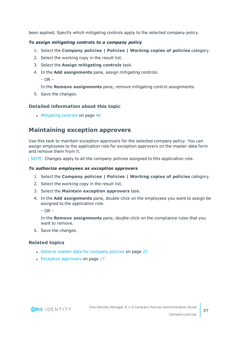been applied. Specify which mitigating controls apply to the selected company policy.

### *To assign mitigating controls to a company policy*

- 1. Select the **Company policies | Policies | Working copies of policies** category.
- 2. Select the working copy in the result list.
- 3. Select the **Assign mitigating controls** task.
- 4. In the **Add assignments** pane, assign mitigating controls.

 $-$  OR  $-$ 

In the **Remove assignments** pane, remove mitigating control assignments.

5. Save the changes.

### **Detailed information about this topic**

• [Mitigating](#page-45-0) controls on page 46

### <span id="page-26-0"></span>**Maintaining exception approvers**

Use this task to maintain exception approvers for the selected company policy. You can assign employees to the application role for exception approvers on the master data form and remove them from it.

NOTE: Changes apply to all the company policies assigned to this application role.

### *To authorize employees as exception approvers*

- 1. Select the **Company policies | Policies | Working copies of policies** category.
- 2. Select the working copy in the result list.
- 3. Select the **Maintain exception approvers** task.
- 4. In the **Add assignments** pane, double-click on the employees you want to assign be assigned to the application role.

 $-$  OR  $-$ 

In the **Remove assignments** pane, double-click on the compliance rules that you want to remove.

5. Save the changes.

### **Related topics**

- General master data for [company](#page-20-0) policies on page 21
- Exception [approvers](#page-16-0) on page 17



**27**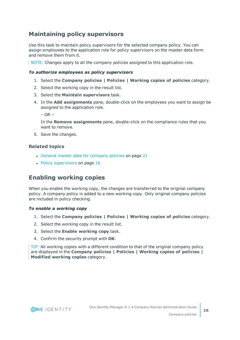### <span id="page-27-1"></span>**Maintaining policy supervisors**

Use this task to maintain policy supervisors for the selected company policy. You can assign employees to the application role for policy supervisors on the master data form and remove them from it.

NOTE: Changes apply to all the company policies assigned to this application role.

### *To authorize employees as policy supervisors*

- 1. Select the **Company policies | Policies | Working copies of policies** category.
- 2. Select the working copy in the result list.
- 3. Select the **Maintain supervisors** task.
- 4. In the **Add assignments** pane, double-click on the employees you want to assign be assigned to the application role.

 $-$  OR  $-$ 

In the **Remove assignments** pane, double-click on the compliance rules that you want to remove.

5. Save the changes.

### **Related topics**

- General master data for [company](#page-20-0) policies on page 21
- $\cdot$  Policy [supervisors](#page-15-0) on page 16

### <span id="page-27-0"></span>**Enabling working copies**

When you enable the working copy, the changes are transferred to the original company policy. A company policy is added to a new working copy. Only original company policies are included in policy checking.

#### *To enable a working copy*

- 1. Select the **Company policies | Policies | Working copies of policies** category.
- 2. Select the working copy in the result list.
- 3. Select the **Enable working copy** task.
- 4. Confirm the security prompt with **OK**.

TIP: All working copies with a different condition to that of the original company policy are displayed in the **Company policies | Policies | Working copies of policies | Modified working copies** category.

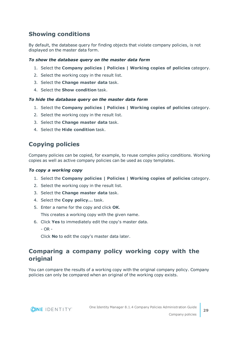### <span id="page-28-0"></span>**Showing conditions**

By default, the database query for finding objects that violate company policies, is not displayed on the master data form.

### *To show the database query on the master data form*

- 1. Select the **Company policies | Policies | Working copies of policies** category.
- 2. Select the working copy in the result list.
- 3. Select the **Change master data** task.
- 4. Select the **Show condition** task.

#### *To hide the database query on the master data form*

- 1. Select the **Company policies | Policies | Working copies of policies** category.
- 2. Select the working copy in the result list.
- 3. Select the **Change master data** task.
- <span id="page-28-2"></span>4. Select the **Hide condition** task.

### **Copying policies**

Company policies can be copied, for example, to reuse complex policy conditions. Working copies as well as active company policies can be used as copy templates.

#### *To copy a working copy*

- 1. Select the **Company policies | Policies | Working copies of policies** category.
- 2. Select the working copy in the result list.
- 3. Select the **Change master data** task.
- 4. Select the **Copy policy...** task.
- 5. Enter a name for the copy and click **OK**.

This creates a working copy with the given name.

- 6. Click **Yes** to immediately edit the copy's master data.
	- $OR -$

Click **No** to edit the copy's master data later.

### <span id="page-28-1"></span>**Comparing a company policy working copy with the original**

You can compare the results of a working copy with the original company policy. Company policies can only be compared when an original of the working copy exists.

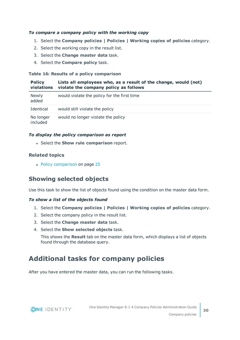### *To compare a company policy with the working copy*

- 1. Select the **Company policies | Policies | Working copies of policies** category.
- 2. Select the working copy in the result list.
- 3. Select the **Change master data** task.
- 4. Select the **Compare policy** task.

### **Table 16: Results of a policy comparison**

| <b>Policy</b><br>violations | Lists all employees who, as a result of the change, would (not)<br>violate the company policy as follows |
|-----------------------------|----------------------------------------------------------------------------------------------------------|
| Newly<br>added              | would violate the policy for the first time                                                              |
| Identical                   | would still violate the policy                                                                           |
| No longer<br>included       | would no longer violate the policy                                                                       |

### *To display the policy comparison as report*

<sup>l</sup> Select the **Show rule comparison** report.

### **Related topics**

• Policy [comparison](#page-24-0) on page 25

### <span id="page-29-1"></span>**Showing selected objects**

Use this task to show the list of objects found using the condition on the master data form.

### *To show a list of the objects found*

- 1. Select the **Company policies | Policies | Working copies of policies** category.
- 2. Select the company policy in the result list.
- 3. Select the **Change master data** task.
- 4. Select the **Show selected objects** task.

This shows the **Result** tab on the master data form, which displays a list of objects found through the database query.

## <span id="page-29-0"></span>**Additional tasks for company policies**

After you have entered the master data, you can run the following tasks.

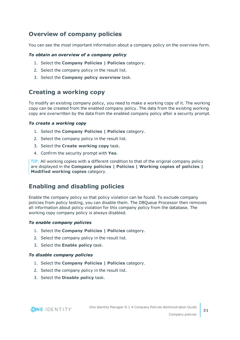### <span id="page-30-2"></span>**Overview of company policies**

You can see the most important information about a company policy on the overview form.

### *To obtain an overview of a company policy*

- 1. Select the **Company Policies | Policies** category.
- 2. Select the company policy in the result list.
- 3. Select the **Company policy overview** task.

### <span id="page-30-1"></span>**Creating a working copy**

To modify an existing company policy, you need to make a working copy of it. The working copy can be created from the enabled company policy. The data from the existing working copy are overwritten by the data from the enabled company policy after a security prompt.

### *To create a working copy*

- 1. Select the **Company Policies | Policies** category.
- 2. Select the company policy in the result list.
- 3. Select the **Create working copy** task.
- 4. Confirm the security prompt with **Yes**.

TIP: All working copies with a different condition to that of the original company policy are displayed in the **Company policies | Policies | Working copies of policies | Modified working copies** category.

### <span id="page-30-0"></span>**Enabling and disabling policies**

Enable the company policy so that policy violation can be found. To exclude company policies from policy testing, you can disable them. The DBQueue Processor then removes all information about policy violation for this company policy from the database. The working copy company policy is always disabled.

### *To enable company policies*

- 1. Select the **Company Policies | Policies** category.
- 2. Select the company policy in the result list.
- 3. Select the **Enable policy** task.

### *To disable company policies*

- 1. Select the **Company Policies | Policies** category.
- 2. Select the company policy in the result list.
- 3. Select the **Disable policy** task.

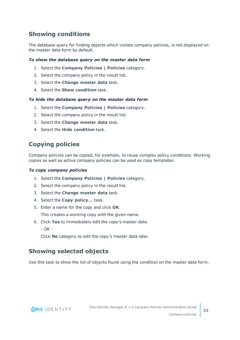### <span id="page-31-0"></span>**Showing conditions**

The database query for finding objects which violate company policies, is not displayed on the master data form by default.

### *To show the database query on the master data form*

- 1. Select the **Company Policies | Policies** category.
- 2. Select the company policy in the result list.
- 3. Select the **Change master data** task.
- 4. Select the **Show condition** task.

### *To hide the database query on the master data form*

- 1. Select the **Company Policies | Policies** category.
- 2. Select the company policy in the result list.
- 3. Select the **Change master data** task.
- <span id="page-31-2"></span>4. Select the **Hide condition** task.

### **Copying policies**

Company policies can be copied, for example, to reuse complex policy conditions. Working copies as well as active company policies can be used as copy templates.

### *To copy company policies*

- 1. Select the **Company Policies | Policies** category.
- 2. Select the company policy in the result list.
- 3. Select the **Change master data** task.
- 4. Select the **Copy policy...** task.
- 5. Enter a name for the copy and click **OK**.

This creates a working copy with the given name.

- 6. Click **Yes** to immediately edit the copy's master data.
	- $OR -$

Click **No** category.to edit the copy's master data later.

### <span id="page-31-1"></span>**Showing selected objects**

Use this task to show the list of objects found using the condition on the master data form.



**32**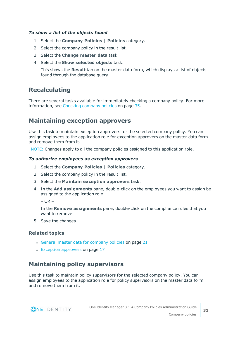### *To show a list of the objects found*

- 1. Select the **Company Policies | Policies** category.
- 2. Select the company policy in the result list.
- 3. Select the **Change master data** task.
- 4. Select the **Show selected objects** task.

This shows the **Result** tab on the master data form, which displays a list of objects found through the database query.

### <span id="page-32-1"></span>**Recalculating**

There are several tasks available for immediately checking a company policy. For [more](#page-34-0) [information,](#page-34-0) see Checking company policies on page 35.

### <span id="page-32-0"></span>**Maintaining exception approvers**

Use this task to maintain exception approvers for the selected company policy. You can assign employees to the application role for exception approvers on the master data form and remove them from it.

NOTE: Changes apply to all the company policies assigned to this application role.

#### *To authorize employees as exception approvers*

- 1. Select the **Company Policies | Policies** category.
- 2. Select the company policy in the result list.
- 3. Select the **Maintain exception approvers** task.
- 4. In the **Add assignments** pane, double-click on the employees you want to assign be assigned to the application role.

 $-$  OR  $-$ 

In the **Remove assignments** pane, double-click on the compliance rules that you want to remove.

5. Save the changes.

### **Related topics**

- General master data for [company](#page-20-0) policies on page 21
- Exception [approvers](#page-16-0) on page 17

### <span id="page-32-2"></span>**Maintaining policy supervisors**

Use this task to maintain policy supervisors for the selected company policy. You can assign employees to the application role for policy supervisors on the master data form and remove them from it.

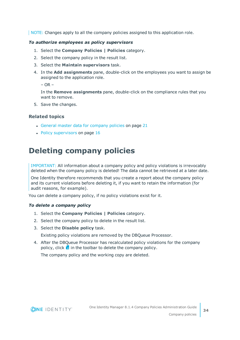NOTE: Changes apply to all the company policies assigned to this application role.

#### *To authorize employees as policy supervisors*

- 1. Select the **Company Policies | Policies** category.
- 2. Select the company policy in the result list.
- 3. Select the **Maintain supervisors** task.
- 4. In the **Add assignments** pane, double-click on the employees you want to assign be assigned to the application role.

– OR –

In the **Remove assignments** pane, double-click on the compliance rules that you want to remove.

5. Save the changes.

### **Related topics**

- General master data for [company](#page-20-0) policies on page 21
- $\cdot$  Policy [supervisors](#page-15-0) on page 16

## <span id="page-33-0"></span>**Deleting company policies**

IMPORTANT: All information about a company policy and policy violations is irrevocably deleted when the company policy is deleted! The data cannot be retrieved at a later date.

One Identity therefore recommends that you create a report about the company policy and its current violations before deleting it, if you want to retain the information (for audit reasons, for example).

You can delete a company policy, if no policy violations exist for it.

#### *To delete a company policy*

- 1. Select the **Company Policies | Policies** category.
- 2. Select the company policy to delete in the result list.
- 3. Select the **Disable policy** task.

Existing policy violations are removed by the DBQueue Processor.

4. After the DBQueue Processor has recalculated policy violations for the company policy, click  $\overline{\mathbf{x}}$  in the toolbar to delete the company policy.

The company policy and the working copy are deleted.

![](_page_33_Picture_23.jpeg)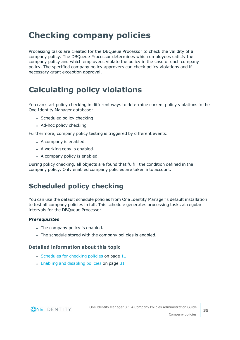# <span id="page-34-0"></span>**Checking company policies**

Processing tasks are created for the DBQueue Processor to check the validity of a company policy. The DBQueue Processor determines which employees satisfy the company policy and which employees violate the policy in the case of each company policy. The specified company policy approvers can check policy violations and if necessary grant exception approval.

# <span id="page-34-1"></span>**Calculating policy violations**

You can start policy checking in different ways to determine current policy violations in the One Identity Manager database:

- Scheduled policy checking
- Ad-hoc policy checking

Furthermore, company policy testing is triggered by different events:

- A company is enabled.
- A working copy is enabled.
- A company policy is enabled.

During policy checking, all objects are found that fulfill the condition defined in the company policy. Only enabled company policies are taken into account.

## <span id="page-34-2"></span>**Scheduled policy checking**

You can use the default schedule policies from One Identity Manager's default installation to test all company policies in full. This schedule generates processing tasks at regular intervals for the DBQueue Processor.

### *Prerequisites*

- The company policy is enabled.
- The schedule stored with the company policies is enabled.

### **Detailed information about this topic**

- [Schedules](#page-10-0) for checking policies on page 11
- $\cdot$  Enabling and [disabling](#page-30-0) policies on page 31

![](_page_34_Picture_19.jpeg)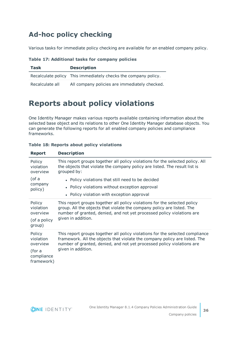## <span id="page-35-0"></span>**Ad-hoc policy checking**

Various tasks for immediate policy checking are available for an enabled company policy.

|  |  | Table 17: Additional tasks for company policies |  |  |  |  |
|--|--|-------------------------------------------------|--|--|--|--|
|--|--|-------------------------------------------------|--|--|--|--|

| Task            | <b>Description</b>                                             |
|-----------------|----------------------------------------------------------------|
|                 | Recalculate policy This immediately checks the company policy. |
| Recalculate all | All company policies are immediately checked.                  |

## <span id="page-35-1"></span>**Reports about policy violations**

One Identity Manager makes various reports available containing information about the selected base object and its relations to other One Identity Manager database objects. You can generate the following reports for all enabled company policies and compliance frameworks.

| <b>Report</b>                                                         | <b>Description</b>                                                                                                                                                                                                                                          |
|-----------------------------------------------------------------------|-------------------------------------------------------------------------------------------------------------------------------------------------------------------------------------------------------------------------------------------------------------|
| Policy<br>violation<br>overview                                       | This report groups together all policy violations for the selected policy. All<br>the objects that violate the company policy are listed. The result list is<br>grouped by:                                                                                 |
| (of a<br>company<br>policy)                                           | • Policy violations that still need to be decided<br>Policy violations without exception approval<br>$\bullet$<br>• Policy violation with exception approval                                                                                                |
| Policy<br>violation<br>overview<br>(of a policy<br>group)             | This report groups together all policy violations for the selected policy<br>group. All the objects that violate the company policy are listed. The<br>number of granted, denied, and not yet processed policy violations are<br>given in addition.         |
| Policy<br>violation<br>overview<br>(for a<br>compliance<br>framework) | This report groups together all policy violations for the selected compliance<br>framework. All the objects that violate the company policy are listed. The<br>number of granted, denied, and not yet processed policy violations are<br>given in addition. |

**Table 18: Reports about policy violations**

![](_page_35_Picture_8.jpeg)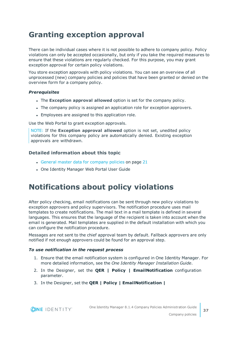## <span id="page-36-0"></span>**Granting exception approval**

There can be individual cases where it is not possible to adhere to company policy. Policy violations can only be accepted occasionally, but only if you take the required measures to ensure that these violations are regularly checked. For this purpose, you may grant exception approval for certain policy violations.

You store exception approvals with policy violations. You can see an overview of all unprocessed (new) company policies and policies that have been granted or denied on the overview form for a company policy.

### *Prerequisites*

- <sup>l</sup> The **Exception approval allowed** option is set for the company policy.
- The company policy is assigned an application role for exception approvers.
- Employees are assigned to this application role.

Use the Web Portal to grant exception approvals.

NOTE: If the **Exception approval allowed** option is not set, unedited policy violations for this company policy are automatically denied. Existing exception approvals are withdrawn.

### **Detailed information about this topic**

- General master data for [company](#page-20-0) policies on page 21
- One Identity Manager Web Portal User Guide

## <span id="page-36-1"></span>**Notifications about policy violations**

After policy checking, email notifications can be sent through new policy violations to exception approvers and policy supervisors. The notification procedure uses mail templates to create notifications. The mail text in a mail template is defined in several languages. This ensures that the language of the recipient is taken into account when the email is generated. Mail templates are supplied in the default installation with which you can configure the notification procedure.

Messages are not sent to the chief approval team by default. Fallback approvers are only notified if not enough approvers could be found for an approval step.

#### *To use notification in the request process*

**ONE IDENTITY** 

- 1. Ensure that the email notification system is configured in One Identity Manager. For more detailed information, see the *One Identity Manager Installation Guide*.
- 2. In the Designer, set the **QER | Policy | EmailNotification** configuration parameter.
- 3. In the Designer, set the **QER | Policy | EmailNotification |**

One Identity Manager 8.1.4 Company Policies Administration Guide Company policies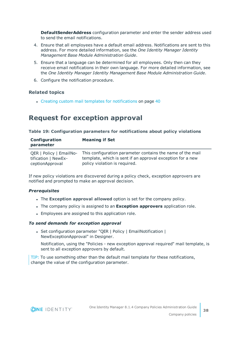**DefaultSenderAddress** configuration parameter and enter the sender address used to send the email notifications.

- 4. Ensure that all employees have a default email address. Notifications are sent to this address. For more detailed information, see the *One Identity Manager Identity Management Base Module Administration Guide*.
- 5. Ensure that a language can be determined for all employees. Only then can they receive email notifications in their own language. For more detailed information, see the *One Identity Manager Identity Management Base Module Administration Guide*.
- 6. Configure the notification procedure.

### **Related topics**

• Creating custom mail templates for [notifications](#page-39-0) on page 40

### <span id="page-37-0"></span>**Request for exception approval**

### **Table 19: Configuration parameters for notifications about policy violations**

| Configuration<br>parameter | <b>Meaning if Set</b>                                      |
|----------------------------|------------------------------------------------------------|
| QER   Policy   EmailNo-    | This configuration parameter contains the name of the mail |
| tification   NewEx-        | template, which is sent if an approval exception for a new |
| ceptionApproval            | policy violation is required.                              |

If new policy violations are discovered during a policy check, exception approvers are notified and prompted to make an approval decision.

### *Prerequisites*

- **.** The **Exception approval allowed** option is set for the company policy.
- <sup>l</sup> The company policy is assigned to an **Exception approvers** application role.
- Employees are assigned to this application role.

#### *To send demands for exception approval*

• Set configuration parameter "QER | Policy | EmailNotification | NewExceptionApproval" in Designer.

Notification, using the "Policies - new exception approval required" mail template, is sent to all exception approvers by default.

TIP: To use something other than the default mail template for these notifications, change the value of the configuration parameter.

![](_page_37_Picture_18.jpeg)

**38**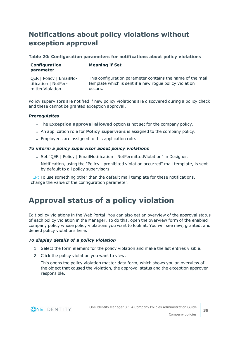## <span id="page-38-0"></span>**Notifications about policy violations without exception approval**

### **Table 20: Configuration parameters for notifications about policy violations**

| Configuration<br>parameter                      | <b>Meaning if Set</b>                                                                                                |
|-------------------------------------------------|----------------------------------------------------------------------------------------------------------------------|
| QER   Policy   EmailNo-<br>tification   NotPer- | This configuration parameter contains the name of the mail<br>template which is sent if a new roque policy violation |
| mittedViolation                                 | occurs.                                                                                                              |

Policy supervisors are notified if new policy violations are discovered during a policy check and these cannot be granted exception approval.

### *Prerequisites*

- **.** The **Exception approval allowed** option is not set for the company policy.
- <sup>l</sup> An application role for **Policy superviors** is assigned to the company policy.
- Employees are assigned to this application role.

### *To inform a policy supervisor about policy violations*

• Set "QER | Policy | EmailNotification | NotPermittedViolation" in Designer.

Notification, using the "Policy - prohibited violation occurred" mail template, is sent by default to all policy supervisors.

TIP: To use something other than the default mail template for these notifications, change the value of the configuration parameter.

## <span id="page-38-1"></span>**Approval status of a policy violation**

Edit policy violations in the Web Portal. You can also get an overview of the approval status of each policy violation in the Manager. To do this, open the overview form of the enabled company policy whose policy violations you want to look at. You will see new, granted, and denied policy violations here.

### *To display details of a policy violation*

- 1. Select the form element for the policy violation and make the list entries visible.
- 2. Click the policy violation you want to view.

This opens the policy violation master data form, which shows you an overview of the object that caused the violation, the approval status and the exception approver responsible.

![](_page_38_Picture_18.jpeg)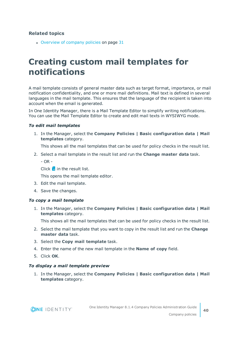### **Related topics**

 $\bullet$  [Overview](#page-30-2) of company policies on page 31

# <span id="page-39-0"></span>**Creating custom mail templates for notifications**

A mail template consists of general master data such as target format, importance, or mail notification confidentiality, and one or more mail definitions. Mail text is defined in several languages in the mail template. This ensures that the language of the recipient is taken into account when the email is generated.

In One Identity Manager, there is a Mail Template Editor to simplify writing notifications. You can use the Mail Template Editor to create and edit mail texts in WYSIWYG mode.

### *To edit mail templates*

1. In the Manager, select the **Company Policies | Basic configuration data | Mail templates** category.

This shows all the mail templates that can be used for policy checks in the result list.

2. Select a mail template in the result list and run the **Change master data** task.

 $-$  OR  $-$ 

Click  $\mathbf{t}$  in the result list.

This opens the mail template editor.

- 3. Edit the mail template.
- 4. Save the changes.

#### *To copy a mail template*

1. In the Manager, select the **Company Policies | Basic configuration data | Mail templates** category.

This shows all the mail templates that can be used for policy checks in the result list.

- 2. Select the mail template that you want to copy in the result list and run the **Change master data** task.
- 3. Select the **Copy mail template** task.
- 4. Enter the name of the new mail template in the **Name of copy** field.
- 5. Click **OK**.

#### *To display a mail template preview*

1. In the Manager, select the **Company Policies | Basic configuration data | Mail templates** category.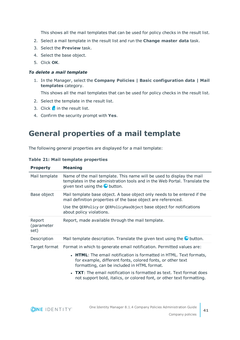This shows all the mail templates that can be used for policy checks in the result list.

- 2. Select a mail template in the result list and run the **Change master data** task.
- 3. Select the **Preview** task.
- 4. Select the base object.
- 5. Click **OK**.

#### *To delete a mail template*

1. In the Manager, select the **Company Policies | Basic configuration data | Mail templates** category.

This shows all the mail templates that can be used for policy checks in the result list.

- 2. Select the template in the result list.
- 3. Click  $\mathbf{\hat{x}}$  in the result list.
- <span id="page-40-0"></span>4. Confirm the security prompt with **Yes**.

## **General properties of a mail template**

The following general properties are displayed for a mail template:

| <b>Property</b>              | <b>Meaning</b>                                                                                                                                                                                                                                 |
|------------------------------|------------------------------------------------------------------------------------------------------------------------------------------------------------------------------------------------------------------------------------------------|
| Mail template                | Name of the mail template. This name will be used to display the mail<br>templates in the administration tools and in the Web Portal. Translate the<br>given text using the <b>O</b> button.                                                   |
| Base object                  | Mail template base object. A base object only needs to be entered if the<br>mail definition properties of the base object are referenced.<br>Use the QERPolicy or QERPolicyHasObject base object for notifications<br>about policy violations. |
| Report<br>(parameter<br>set) | Report, made available through the mail template.                                                                                                                                                                                              |
| Description                  | Mail template description. Translate the given text using the $\bullet$ button.                                                                                                                                                                |

#### **Table 21: Mail template properties**

Target format Format in which to generate email notification. Permitted values are:

- **HTML:** The email notification is formatted in HTML. Text formats, for example, different fonts, colored fonts, or other text formatting, can be included in HTML format.
- **TXT**: The email notification is formatted as text. Text format does not support bold, italics, or colored font, or other text formatting.

![](_page_40_Picture_18.jpeg)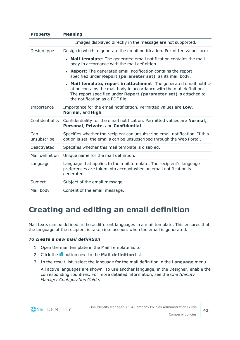| <b>Property</b>    | <b>Meaning</b>                                                                                                                                                                                                                                     |
|--------------------|----------------------------------------------------------------------------------------------------------------------------------------------------------------------------------------------------------------------------------------------------|
|                    | Images displayed directly in the message are not supported.                                                                                                                                                                                        |
| Design type        | Design in which to generate the email notification. Permitted values are:                                                                                                                                                                          |
|                    | • Mail template: The generated email notification contains the mail<br>body in accordance with the mail definition.                                                                                                                                |
|                    | • Report: The generated email notification contains the report<br>specified under Report (parameter set) as its mail body.                                                                                                                         |
|                    | • Mail template, report in attachment: The generated email notific-<br>ation contains the mail body in accordance with the mail definition.<br>The report specified under Report (parameter set) is attached to<br>the notification as a PDF file. |
| Importance         | Importance for the email notification. Permitted values are Low,<br>Normal, and High.                                                                                                                                                              |
| Confidentiality    | Confidentiality for the email notification. Permitted values are <b>Normal</b> ,<br>Personal, Private, and Confidential.                                                                                                                           |
| Can<br>unsubscribe | Specifies whether the recipient can unsubscribe email notification. If this<br>option is set, the emails can be unsubscribed through the Web Portal.                                                                                               |
| Deactivated        | Specifies whether this mail template is disabled.                                                                                                                                                                                                  |
| Mail definition    | Unique name for the mail definition.                                                                                                                                                                                                               |
| Language           | Language that applies to the mail template. The recipient's language<br>preferences are taken into account when an email notification is<br>generated.                                                                                             |
| Subject            | Subject of the email message.                                                                                                                                                                                                                      |
| Mail body          | Content of the email message.                                                                                                                                                                                                                      |

## <span id="page-41-0"></span>**Creating and editing an email definition**

Mail texts can be defined in these different languages in a mail template. This ensures that the language of the recipient is taken into account when the email is generated.

### *To create a new mail definition*

- 1. Open the mail template in the Mail Template Editor.
- 2. Click the **button next to the Mail definition** list.
- 3. In the result list, select the language for the mail definition in the **Language** menu.

All active languages are shown. To use another language, in the Designer, enable the corresponding countries. For more detailed information, see the *One Identity Manager Configuration Guide*.

![](_page_41_Picture_8.jpeg)

**42**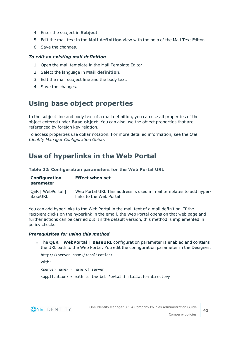- 4. Enter the subject in **Subject**.
- 5. Edit the mail text in the **Mail definition** view with the help of the Mail Text Editor.
- 6. Save the changes.

### *To edit an existing mail definition*

- 1. Open the mail template in the Mail Template Editor.
- 2. Select the language in **Mail definition**.
- 3. Edit the mail subject line and the body text.
- <span id="page-42-0"></span>4. Save the changes.

## **Using base object properties**

In the subject line and body text of a mail definition, you can use all properties of the object entered under **Base object**. You can also use the object properties that are referenced by foreign key relation.

To access properties use dollar notation. For more detailed information, see the *One Identity Manager Configuration Guide*.

### <span id="page-42-1"></span>**Use of hyperlinks in the Web Portal**

**Table 22: Configuration parameters for the Web Portal URL**

| Configuration<br>parameter | <b>Effect when set</b>                                              |
|----------------------------|---------------------------------------------------------------------|
| QER   WebPortal            | Web Portal URL This address is used in mail templates to add hyper- |
| BaseURL                    | links to the Web Portal.                                            |

You can add hyperlinks to the Web Portal in the mail text of a mail definition. If the recipient clicks on the hyperlink in the email, the Web Portal opens on that web page and further actions can be carried out. In the default version, this method is implemented in policy checks.

#### *Prerequisites for using this method*

<sup>l</sup> The **QER | WebPortal | BaseURL** configuration parameter is enabled and contains the URL path to the Web Portal. You edit the configuration parameter in the Designer.

```
http://<server name>/<application>
with:
<server name> = name of server
<application> = path to the Web Portal installation directory
```
![](_page_42_Picture_18.jpeg)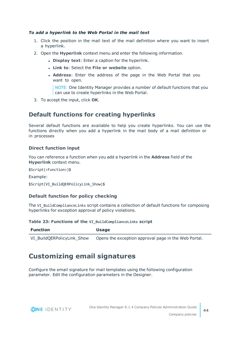### *To add a hyperlink to the Web Portal in the mail text*

- 1. Click the position in the mail text of the mail definition where you want to insert a hyperlink.
- 2. Open the **Hyperlink** context menu and enter the following information.
	- **.** Display text: Enter a caption for the hyperlink.
	- <sup>l</sup> **Link to**: Select the **File or website** option.
	- <sup>l</sup> **Address**: Enter the address of the page in the Web Portal that you want to open.

NOTE: One Identity Manager provides a number of default functions that you can use to create hyperlinks in the Web Portal.

3. To accept the input, click **OK**.

### **Default functions for creating hyperlinks**

Several default functions are available to help you create hyperlinks. You can use the functions directly when you add a hyperlink in the mail body of a mail definition or in processes

### **Direct function input**

You can reference a function when you add a hyperlink in the **Address** field of the **Hyperlink** context menu.

\$Script(<Function>)\$

Example:

```
$Script(VI_BuildQERPolicyLink_Show)$
```
### **Default function for policy checking**

The VI\_BuildComplianceLinks script contains a collection of default functions for composing hyperlinks for exception approval of policy violations.

#### **Table 23: Functions of the VI\_BuildComplianceLinks script**

| <b>Function</b>            | Usage                                                |
|----------------------------|------------------------------------------------------|
| VI BuildQERPolicyLink Show | Opens the exception approval page in the Web Portal. |

## <span id="page-43-0"></span>**Customizing email signatures**

Configure the email signature for mail templates using the following configuration parameter. Edit the configuration parameters in the Designer.

![](_page_43_Picture_21.jpeg)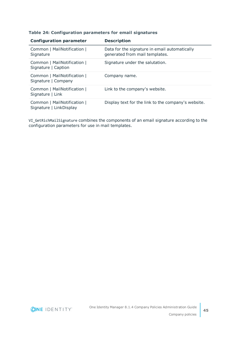#### **Table 24: Configuration parameters for email signatures**

| <b>Configuration parameter</b>                         | <b>Description</b>                                                              |
|--------------------------------------------------------|---------------------------------------------------------------------------------|
| Common   MailNotification  <br>Signature               | Data for the signature in email automatically<br>generated from mail templates. |
| Common   MailNotification  <br>Signature   Caption     | Signature under the salutation.                                                 |
| Common   MailNotification  <br>Signature   Company     | Company name.                                                                   |
| Common   MailNotification  <br>Signature   Link        | Link to the company's website.                                                  |
| Common   MailNotification  <br>Signature   LinkDisplay | Display text for the link to the company's website.                             |

VI\_GetRichMailSignature combines the components of an email signature according to the configuration parameters for use in mail templates.

![](_page_44_Picture_3.jpeg)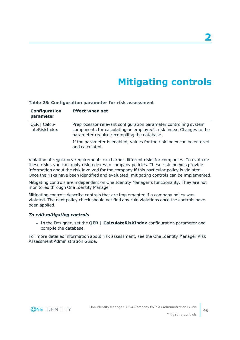# **Mitigating controls**

**2**

#### <span id="page-45-0"></span>**Table 25: Configuration parameter for risk assessment**

| Configuration<br>parameter    | <b>Effect when set</b>                                                                                                                                                                 |
|-------------------------------|----------------------------------------------------------------------------------------------------------------------------------------------------------------------------------------|
| QER   Calcu-<br>lateRiskIndex | Preprocessor relevant configuration parameter controlling system<br>components for calculating an employee's risk index. Changes to the<br>parameter require recompiling the database. |
|                               | If the parameter is enabled, values for the risk index can be entered<br>and calculated.                                                                                               |

Violation of regulatory requirements can harbor different risks for companies. To evaluate these risks, you can apply risk indexes to company policies. These risk indexes provide information about the risk involved for the company if this particular policy is violated. Once the risks have been identified and evaluated, mitigating controls can be implemented.

Mitigating controls are independent on One Identity Manager's functionality. They are not monitored through One Identity Manager.

Mitigating controls describe controls that are implemented if a company policy was violated. The next policy check should not find any rule violations once the controls have been applied.

#### *To edit mitigating controls*

<sup>l</sup> In the Designer, set the **QER | CalculateRiskIndex** configuration parameter and compile the database.

For more detailed information about risk assessment, see the One Identity Manager Risk Assessment Administration Guide.

![](_page_45_Picture_9.jpeg)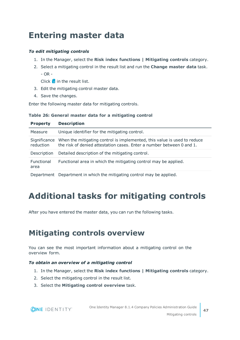# <span id="page-46-0"></span>**Entering master data**

### *To edit mitigating controls*

- 1. In the Manager, select the **Risk index functions | Mitigating controls** category.
- 2. Select a mitigating control in the result list and run the **Change master data** task.  $-$  OR  $-$

Click  $\mathbf{r}$  in the result list.

- 3. Edit the mitigating control master data.
- 4. Save the changes.

Enter the following master data for mitigating controls.

### **Table 26: General master data for a mitigating control**

| <b>Property</b>           | <b>Description</b>                                                                                                                                |
|---------------------------|---------------------------------------------------------------------------------------------------------------------------------------------------|
| Measure                   | Unique identifier for the mitigating control.                                                                                                     |
| Significance<br>reduction | When the mitigating control is implemented, this value is used to reduce<br>the risk of denied attestation cases. Enter a number between 0 and 1. |
| Description               | Detailed description of the mitigating control.                                                                                                   |
| Functional<br>area        | Functional area in which the mitigating control may be applied.                                                                                   |
| Department                | Department in which the mitigating control may be applied.                                                                                        |

# <span id="page-46-1"></span>**Additional tasks for mitigating controls**

After you have entered the master data, you can run the following tasks.

## <span id="page-46-2"></span>**Mitigating controls overview**

You can see the most important information about a mitigating control on the overview form.

### *To obtain an overview of a mitigating control*

- 1. In the Manager, select the **Risk index functions | Mitigating controls** category.
- 2. Select the mitigating control in the result list.

**ONE IDENTITY** 

3. Select the **Mitigating control overview** task.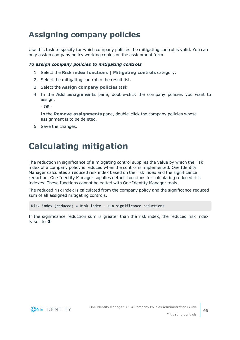## <span id="page-47-0"></span>**Assigning company policies**

Use this task to specify for which company policies the mitigating control is valid. You can only assign company policy working copies on the assignment form.

### *To assign company policies to mitigating controls*

- 1. Select the **Risk index functions | Mitigating controls** category.
- 2. Select the mitigating control in the result list.
- 3. Select the **Assign company policies** task.
- 4. In the **Add assignments** pane, double-click the company policies you want to assign.

 $- OR -$ 

In the **Remove assignments** pane, double-click the company policies whose assignment is to be deleted.

<span id="page-47-1"></span>5. Save the changes.

# **Calculating mitigation**

The reduction in significance of a mitigating control supplies the value by which the risk index of a company policy is reduced when the control is implemented. One Identity Manager calculates a reduced risk index based on the risk index and the significance reduction. One Identity Manager supplies default functions for calculating reduced risk indexes. These functions cannot be edited with One Identity Manager tools.

The reduced risk index is calculated from the company policy and the significance reduced sum of all assigned mitigating controls.

Risk index (reduced) = Risk index - sum significance reductions

If the significance reduction sum is greater than the risk index, the reduced risk index is set to **0**.

![](_page_47_Picture_15.jpeg)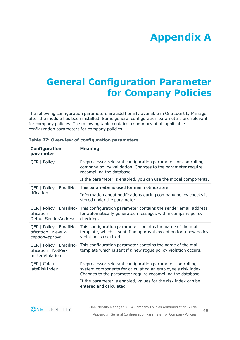# <span id="page-48-0"></span>**Appendix:General Configuration Parameter for Company Policies**

The following configuration parameters are additionally available in One Identity Manager after the module has been installed. Some general configuration parameters are relevant for company policies. The following table contains a summary of all applicable configuration parameters for company policies.

| Configuration<br>parameter                                         | <b>Meaning</b>                                                                                                                                                                         |
|--------------------------------------------------------------------|----------------------------------------------------------------------------------------------------------------------------------------------------------------------------------------|
| QER   Policy                                                       | Preprocessor relevant configuration parameter for controlling<br>company policy validation. Changes to the parameter require<br>recompiling the database.                              |
|                                                                    | If the parameter is enabled, you can use the model components.                                                                                                                         |
| tification                                                         | QER   Policy   EmailNo- This parameter is used for mail notifications.                                                                                                                 |
|                                                                    | Information about notifications during company policy checks is<br>stored under the parameter.                                                                                         |
| tification  <br><b>DefaultSenderAddress</b>                        | QER   Policy   EmailNo- This configuration parameter contains the sender email address<br>for automatically generated messages within company policy<br>checking.                      |
| QER   Policy   EmailNo-<br>tification   NewEx-<br>ceptionApproval  | This configuration parameter contains the name of the mail<br>template, which is sent if an approval exception for a new policy<br>violation is required.                              |
| QER   Policy   EmailNo-<br>tification   NotPer-<br>mittedViolation | This configuration parameter contains the name of the mail<br>template which is sent if a new rogue policy violation occurs.                                                           |
| QER   Calcu-<br>lateRiskIndex                                      | Preprocessor relevant configuration parameter controlling<br>system components for calculating an employee's risk index.<br>Changes to the parameter require recompiling the database. |
|                                                                    | If the parameter is enabled, values for the risk index can be<br>entered and calculated.                                                                                               |

### **Table 27: Overview of configuration parameters**

![](_page_48_Picture_5.jpeg)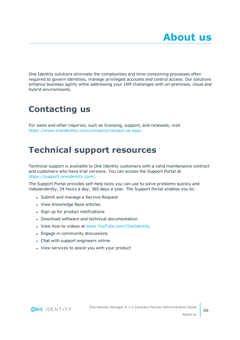<span id="page-49-0"></span>One Identity solutions eliminate the complexities and time-consuming processes often required to govern identities, manage privileged accounts and control access. Our solutions enhance business agility while addressing your IAM challenges with on-premises, cloud and hybrid environments.

# <span id="page-49-1"></span>**Contacting us**

For sales and other inquiries, such as licensing, support, and renewals, visit <https://www.oneidentity.com/company/contact-us.aspx>.

# <span id="page-49-2"></span>**Technical support resources**

Technical support is available to One Identity customers with a valid maintenance contract and customers who have trial versions. You can access the Support Portal at [https://support.oneidentity.com/.](https://support.oneidentity.com/)

The Support Portal provides self-help tools you can use to solve problems quickly and independently, 24 hours a day, 365 days a year. The Support Portal enables you to:

- Submit and manage a Service Request
- View Knowledge Base articles
- Sign up for product notifications
- Download software and technical documentation
- View how-to videos at [www.YouTube.com/OneIdentity](http://www.youtube.com/OneIdentity)
- Engage in community discussions
- Chat with support engineers online
- View services to assist you with your product

![](_page_49_Picture_15.jpeg)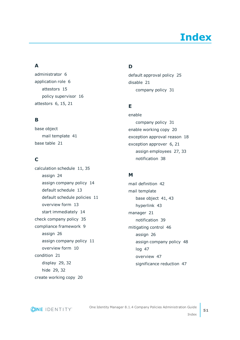# **Index**

### <span id="page-50-0"></span>**A**

administrator [6](#page-5-0) application role [6](#page-5-0) attestors [15](#page-14-0) policy supervisor [16](#page-15-0) attestors [6](#page-5-0), [15](#page-14-0), [21](#page-20-0)

### **B**

base object mail template [41](#page-40-0) base table [21](#page-20-0)

### **C**

calculation schedule [11](#page-10-0), [35](#page-34-2) assign [24](#page-23-0) assign company policy [14](#page-13-0) default schedule [13](#page-12-0) default schedule policies [11](#page-10-0) overview form [13](#page-12-2) start immediately [14](#page-13-1) check company policy [35](#page-34-1) compliance framework [9](#page-8-1) assign [26](#page-25-1) assign company policy [11](#page-10-1) overview form [10](#page-9-1) condition [21](#page-20-0) display [29,](#page-28-0) [32](#page-31-0) hide [29](#page-28-0), [32](#page-31-0) create working copy [20](#page-19-2)

### **D**

default approval policy [25](#page-24-1) disable [21](#page-20-0) company policy [31](#page-30-0)

### **E**

enable company policy [31](#page-30-0) enable working copy [20](#page-19-3) exception approval reason [18](#page-17-0) exception approver [6,](#page-5-0) [21](#page-20-0) assign employees [27](#page-26-0), [33](#page-32-0) notification [38](#page-37-0)

### **M**

mail definition [42](#page-41-0) mail template base object [41,](#page-40-0) [43](#page-42-0) hyperlink [43](#page-42-1) manager [21](#page-20-0) notification [39](#page-38-0) mitigating control [46](#page-45-0) assign [26](#page-25-2) assign company policy [48](#page-47-0) log [47](#page-46-0) overview [47](#page-46-2) significance reduction [47](#page-46-0)

**ONE IDENTITY**